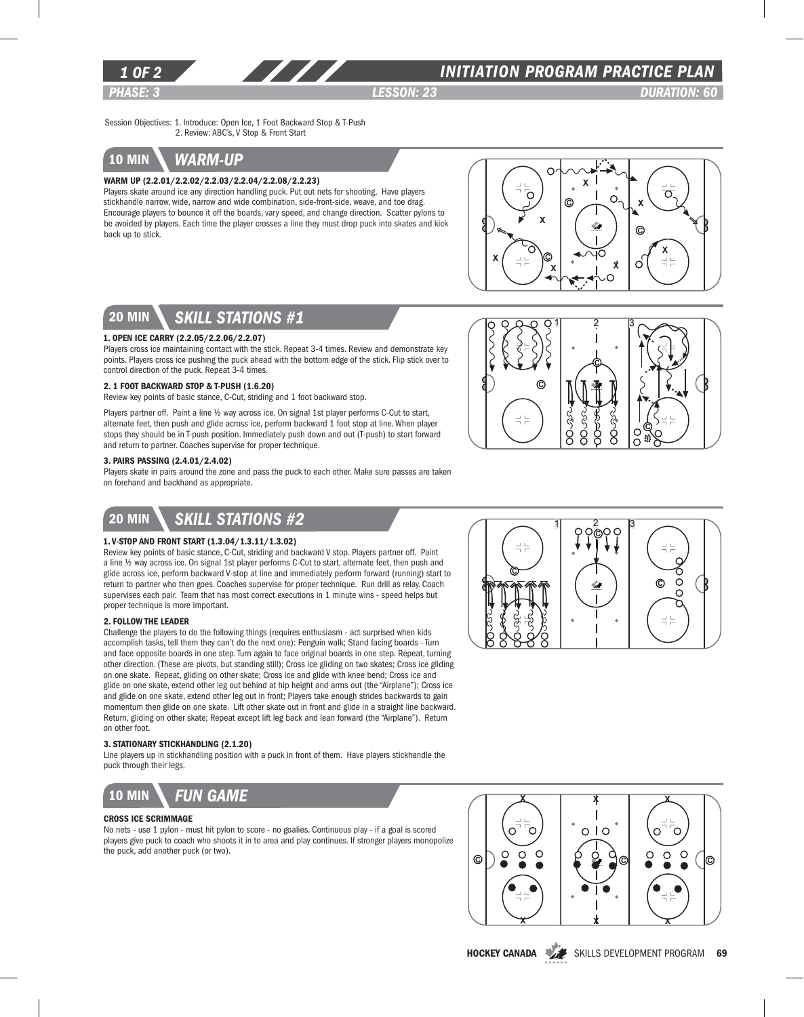

## *INITIATION program PRACTICE PLAN*

*PHASE: 3 lesson: 23 DURATION: 60* 

Session Objectives: 1. Introduce: Open Ice, 1 Foot Backward Stop & T-Push 2. Review: ABC's, V Stop & Front Start

# 10 min *warm-up*

### Warm Up (2.2.01/2.2.02/2.2.03/2.2.04/2.2.08/2.2.23)

Players skate around ice any direction handling puck. Put out nets for shooting. Have players stickhandle narrow, wide, narrow and wide combination, side-front-side, weave, and toe drag. Encourage players to bounce it off the boards, vary speed, and change direction. Scatter pylons to be avoided by players. Each time the player crosses a line they must drop puck into skates and kick back up to stick.

777



C

ooes

Ś

 $1 \overline{2}$  3

C

C

C

루는

S<br>S

# 20 min *skill stations #1*

#### 1. Open Ice Carry (2.2.05/2.2.06/2.2.07)

Players cross ice maintaining contact with the stick. Repeat 3-4 times. Review and demonstrate key points. Players cross ice pushing the puck ahead with the bottom edge of the stick. Flip stick over to control direction of the puck. Repeat 3-4 times.

#### 2. 1 Foot Backward Stop & T-Push (1.6.20)

Review key points of basic stance, C-Cut, striding and 1 foot backward stop.

Players partner off. Paint a line 1/2 way across ice. On signal 1st player performs C-Cut to start, alternate feet, then push and glide across ice, perform backward 1 foot stop at line. When player stops they should be in T-push position. Immediately push down and out (T-push) to start forward and return to partner. Coaches supervise for proper technique.

### 3. Pairs Passing (2.4.01/2.4.02)

Players skate in pairs around the zone and pass the puck to each other. Make sure passes are taken on forehand and backhand as appropriate.

## 20 min *Skill stations #2*

### 1. V-Stop and Front Start (1.3.04/1.3.11/1.3.02)

Review key points of basic stance, C-Cut, striding and backward V stop. Players partner off. Paint a line ½ way across ice. On signal 1st player performs C-Cut to start, alternate feet, then push and glide across ice, perform backward V-stop at line and immediately perform forward (running) start to return to partner who then goes. Coaches supervise for proper technique. Run drill as relay. Coach supervises each pair. Team that has most correct executions in 1 minute wins - speed helps but proper technique is more important.

#### 2. Follow the Leader

Challenge the players to do the following things (requires enthusiasm - act surprised when kids accomplish tasks, tell them they can't do the next one): Penguin walk; Stand facing boards - Turn and face opposite boards in one step. Turn again to face original boards in one step. Repeat, turning other direction. (These are pivots, but standing still); Cross ice gliding on two skates; Cross ice gliding on one skate. Repeat, gliding on other skate; Cross ice and glide with knee bend; Cross ice and glide on one skate, extend other leg out behind at hip height and arms out (the "Airplane"); Cross ice and glide on one skate, extend other leg out in front; Players take enough strides backwards to gain momentum then glide on one skate. Lift other skate out in front and glide in a straight line backward. Return, gliding on other skate; Repeat except lift leg back and lean forward (the "Airplane"). Return on other foot.

### 3. Stationary Stickhandling (2.1.20)

Line players up in stickhandling position with a puck in front of them. Have players stickhandle the puck through their legs.



#### Cross Ice Scrimmage

No nets - use 1 pylon - must hit pylon to score - no goalies. Continuous play - if a goal is scored players give puck to coach who shoots it in to area and play continues. If stronger players monopolize the puck, add another puck (or two).





HOCKEY CANADA SKILLS DEVELOPMENT PROGRAM 69